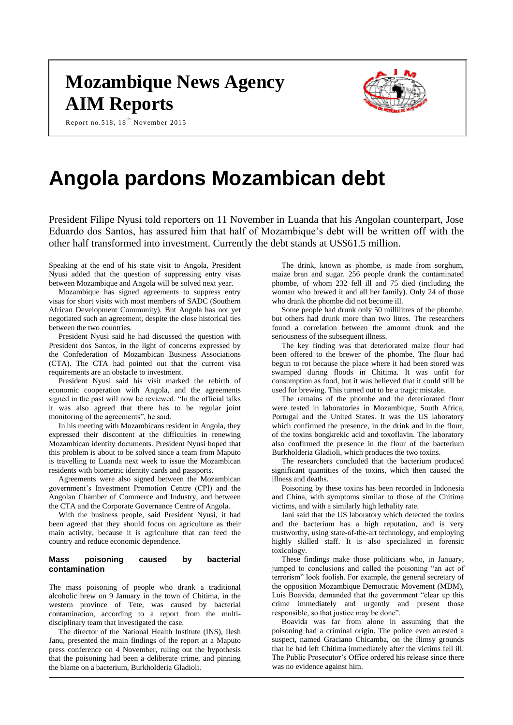# **Mozambique News Agency AIM Reports**



Report no.518, 18<sup>th</sup> November 2015

# **Angola pardons Mozambican debt**

President Filipe Nyusi told reporters on 11 November in Luanda that his Angolan counterpart, Jose Eduardo dos Santos, has assured him that half of Mozambique's debt will be written off with the other half transformed into investment. Currently the debt stands at US\$61.5 million.

Speaking at the end of his state visit to Angola, President Nyusi added that the question of suppressing entry visas between Mozambique and Angola will be solved next year.

Mozambique has signed agreements to suppress entry visas for short visits with most members of SADC (Southern African Development Community). But Angola has not yet negotiated such an agreement, despite the close historical ties between the two countries.

President Nyusi said he had discussed the question with President dos Santos, in the light of concerns expressed by the Confederation of Mozambican Business Associations (CTA). The CTA had pointed out that the current visa requirements are an obstacle to investment.

President Nyusi said his visit marked the rebirth of economic cooperation with Angola, and the agreements signed in the past will now be reviewed. "In the official talks it was also agreed that there has to be regular joint monitoring of the agreements", he said.

In his meeting with Mozambicans resident in Angola, they expressed their discontent at the difficulties in renewing Mozambican identity documents. President Nyusi hoped that this problem is about to be solved since a team from Maputo is travelling to Luanda next week to issue the Mozambican residents with biometric identity cards and passports.

Agreements were also signed between the Mozambican government's Investment Promotion Centre (CPI) and the Angolan Chamber of Commerce and Industry, and between the CTA and the Corporate Governance Centre of Angola.

With the business people, said President Nyusi, it had been agreed that they should focus on agriculture as their main activity, because it is agriculture that can feed the country and reduce economic dependence.

#### **Mass poisoning caused by bacterial contamination**

The mass poisoning of people who drank a traditional alcoholic brew on 9 January in the town of Chitima, in the western province of Tete, was caused by bacterial contamination, according to a report from the multidisciplinary team that investigated the case.

The director of the National Health Institute (INS), Ilesh Janu, presented the main findings of the report at a Maputo press conference on 4 November, ruling out the hypothesis that the poisoning had been a deliberate crime, and pinning the blame on a bacterium, Burkholderia Gladioli.

The drink, known as phombe, is made from sorghum, maize bran and sugar. 256 people drank the contaminated phombe, of whom 232 fell ill and 75 died (including the woman who brewed it and all her family). Only 24 of those who drank the phombe did not become ill.

Some people had drunk only 50 millilitres of the phombe, but others had drunk more than two litres. The researchers found a correlation between the amount drunk and the seriousness of the subsequent illness.

The key finding was that deteriorated maize flour had been offered to the brewer of the phombe. The flour had begun to rot because the place where it had been stored was swamped during floods in Chitima. It was unfit for consumption as food, but it was believed that it could still be used for brewing. This turned out to be a tragic mistake.

The remains of the phombe and the deteriorated flour were tested in laboratories in Mozambique, South Africa, Portugal and the United States. It was the US laboratory which confirmed the presence, in the drink and in the flour, of the toxins bongkrekic acid and toxoflavin. The laboratory also confirmed the presence in the flour of the bacterium Burkholderia Gladioli, which produces the two toxins.

The researchers concluded that the bacterium produced significant quantities of the toxins, which then caused the illness and deaths.

Poisoning by these toxins has been recorded in Indonesia and China, with symptoms similar to those of the Chitima victims, and with a similarly high lethality rate.

Jani said that the US laboratory which detected the toxins and the bacterium has a high reputation, and is very trustworthy, using state-of-the-art technology, and employing highly skilled staff. It is also specialized in forensic toxicology.

These findings make those politicians who, in January, jumped to conclusions and called the poisoning "an act of terrorism" look foolish. For example, the general secretary of the opposition Mozambique Democratic Movement (MDM), Luis Boavida, demanded that the government "clear up this crime immediately and urgently and present those responsible, so that justice may be done".

Boavida was far from alone in assuming that the poisoning had a criminal origin. The police even arrested a suspect, named Graciano Chicamba, on the flimsy grounds that he had left Chitima immediately after the victims fell ill. The Public Prosecutor's Office ordered his release since there was no evidence against him.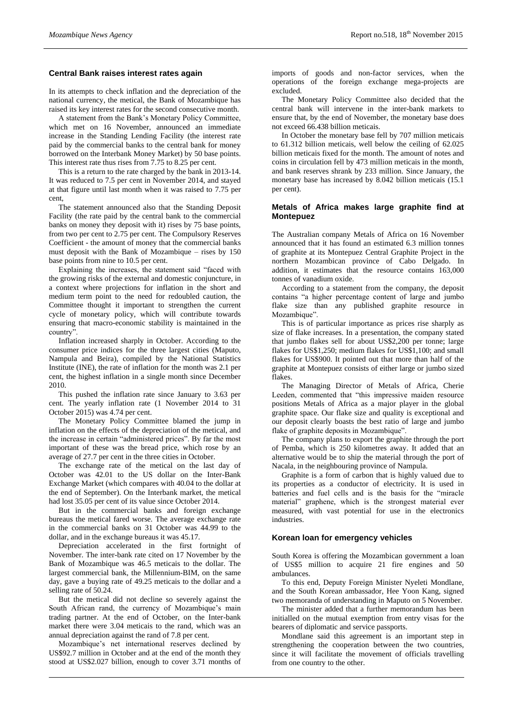# **Central Bank raises interest rates again**

In its attempts to check inflation and the depreciation of the national currency, the metical, the Bank of Mozambique has raised its key interest rates for the second consecutive month.

A statement from the Bank's Monetary Policy Committee, which met on 16 November, announced an immediate increase in the Standing Lending Facility (the interest rate paid by the commercial banks to the central bank for money borrowed on the Interbank Money Market) by 50 base points. This interest rate thus rises from 7.75 to 8.25 per cent.

This is a return to the rate charged by the bank in 2013-14. It was reduced to 7.5 per cent in November 2014, and stayed at that figure until last month when it was raised to 7.75 per cent,

The statement announced also that the Standing Deposit Facility (the rate paid by the central bank to the commercial banks on money they deposit with it) rises by 75 base points, from two per cent to 2.75 per cent. The Compulsory Reserves Coefficient - the amount of money that the commercial banks must deposit with the Bank of Mozambique – rises by 150 base points from nine to 10.5 per cent.

Explaining the increases, the statement said "faced with the growing risks of the external and domestic conjuncture, in a context where projections for inflation in the short and medium term point to the need for redoubled caution, the Committee thought it important to strengthen the current cycle of monetary policy, which will contribute towards ensuring that macro-economic stability is maintained in the country".

Inflation increased sharply in October. According to the consumer price indices for the three largest cities (Maputo, Nampula and Beira), compiled by the National Statistics Institute (INE), the rate of inflation for the month was 2.1 per cent, the highest inflation in a single month since December 2010.

This pushed the inflation rate since January to 3.63 per cent. The yearly inflation rate (1 November 2014 to 31 October 2015) was 4.74 per cent.

The Monetary Policy Committee blamed the jump in inflation on the effects of the depreciation of the metical, and the increase in certain "administered prices". By far the most important of these was the bread price, which rose by an average of 27.7 per cent in the three cities in October.

The exchange rate of the metical on the last day of October was 42.01 to the US dollar on the Inter-Bank Exchange Market (which compares with 40.04 to the dollar at the end of September). On the Interbank market, the metical had lost 35.05 per cent of its value since October 2014.

But in the commercial banks and foreign exchange bureaus the metical fared worse. The average exchange rate in the commercial banks on 31 October was 44.99 to the dollar, and in the exchange bureaus it was 45.17.

Depreciation accelerated in the first fortnight of November. The inter-bank rate cited on 17 November by the Bank of Mozambique was 46.5 meticais to the dollar. The largest commercial bank, the Millennium-BIM, on the same day, gave a buying rate of 49.25 meticais to the dollar and a selling rate of 50.24.

But the metical did not decline so severely against the South African rand, the currency of Mozambique's main trading partner. At the end of October, on the Inter-bank market there were 3.04 meticais to the rand, which was an annual depreciation against the rand of 7.8 per cent.

Mozambique's net international reserves declined by US\$92.7 million in October and at the end of the month they stood at US\$2.027 billion, enough to cover 3.71 months of

imports of goods and non-factor services, when the operations of the foreign exchange mega-projects are excluded.

The Monetary Policy Committee also decided that the central bank will intervene in the inter-bank markets to ensure that, by the end of November, the monetary base does not exceed 66.438 billion meticais.

In October the monetary base fell by 707 million meticais to 61.312 billion meticais, well below the ceiling of 62.025 billion meticais fixed for the month. The amount of notes and coins in circulation fell by 473 million meticais in the month, and bank reserves shrank by 233 million. Since January, the monetary base has increased by 8.042 billion meticais (15.1 per cent).

#### **Metals of Africa makes large graphite find at Montepuez**

The Australian company Metals of Africa on 16 November announced that it has found an estimated 6.3 million tonnes of graphite at its Montepuez Central Graphite Project in the northern Mozambican province of Cabo Delgado. In addition, it estimates that the resource contains 163,000 tonnes of vanadium oxide.

According to a statement from the company, the deposit contains "a higher percentage content of large and jumbo flake size than any published graphite resource in Mozambique".

This is of particular importance as prices rise sharply as size of flake increases. In a presentation, the company stated that jumbo flakes sell for about US\$2,200 per tonne; large flakes for US\$1,250; medium flakes for US\$1,100; and small flakes for US\$900. It pointed out that more than half of the graphite at Montepuez consists of either large or jumbo sized flakes.

The Managing Director of Metals of Africa, Cherie Leeden, commented that "this impressive maiden resource positions Metals of Africa as a major player in the global graphite space. Our flake size and quality is exceptional and our deposit clearly boasts the best ratio of large and jumbo flake of graphite deposits in Mozambique".

The company plans to export the graphite through the port of Pemba, which is 250 kilometres away. It added that an alternative would be to ship the material through the port of Nacala, in the neighbouring province of Nampula.

Graphite is a form of carbon that is highly valued due to its properties as a conductor of electricity. It is used in batteries and fuel cells and is the basis for the "miracle material" graphene, which is the strongest material ever measured, with vast potential for use in the electronics industries.

## **Korean loan for emergency vehicles**

South Korea is offering the Mozambican government a loan of US\$5 million to acquire 21 fire engines and 50 ambulances.

To this end, Deputy Foreign Minister Nyeleti Mondlane, and the South Korean ambassador, Hee Yoon Kang, signed two memoranda of understanding in Maputo on 5 November.

The minister added that a further memorandum has been initialled on the mutual exemption from entry visas for the bearers of diplomatic and service passports.

Mondlane said this agreement is an important step in strengthening the cooperation between the two countries, since it will facilitate the movement of officials travelling from one country to the other.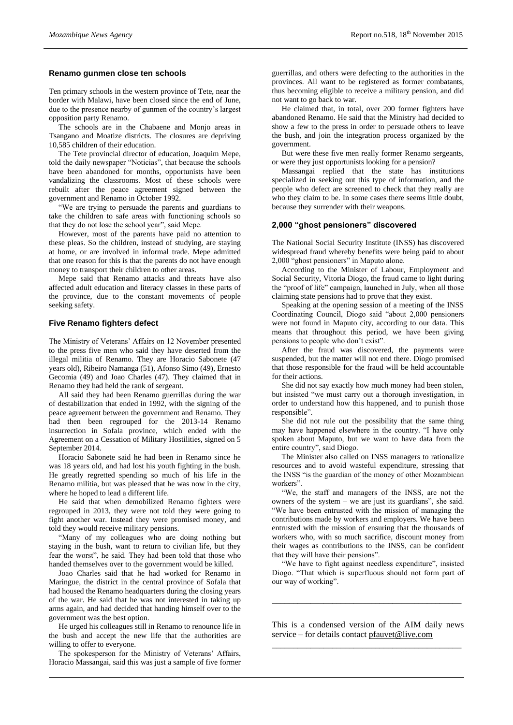## **Renamo gunmen close ten schools**

Ten primary schools in the western province of Tete, near the border with Malawi, have been closed since the end of June, due to the presence nearby of gunmen of the country's largest opposition party Renamo.

The schools are in the Chabaene and Monjo areas in Tsangano and Moatize districts. The closures are depriving 10,585 children of their education.

The Tete provincial director of education, Joaquim Mepe, told the daily newspaper "Noticias", that because the schools have been abandoned for months, opportunists have been vandalizing the classrooms. Most of these schools were rebuilt after the peace agreement signed between the government and Renamo in October 1992.

"We are trying to persuade the parents and guardians to take the children to safe areas with functioning schools so that they do not lose the school year", said Mepe.

However, most of the parents have paid no attention to these pleas. So the children, instead of studying, are staying at home, or are involved in informal trade. Mepe admitted that one reason for this is that the parents do not have enough money to transport their children to other areas.

Mepe said that Renamo attacks and threats have also affected adult education and literacy classes in these parts of the province, due to the constant movements of people seeking safety.

#### **Five Renamo fighters defect**

The Ministry of Veterans' Affairs on 12 November presented to the press five men who said they have deserted from the illegal militia of Renamo. They are Horacio Sabonete (47 years old), Ribeiro Namanga (51), Afonso Simo (49), Ernesto Gecomia (49) and Joao Charles (47). They claimed that in Renamo they had held the rank of sergeant.

All said they had been Renamo guerrillas during the war of destabilization that ended in 1992, with the signing of the peace agreement between the government and Renamo. They had then been regrouped for the 2013-14 Renamo insurrection in Sofala province, which ended with the Agreement on a Cessation of Military Hostilities, signed on 5 September 2014.

Horacio Sabonete said he had been in Renamo since he was 18 years old, and had lost his youth fighting in the bush. He greatly regretted spending so much of his life in the Renamo militia, but was pleased that he was now in the city, where he hoped to lead a different life.

He said that when demobilized Renamo fighters were regrouped in 2013, they were not told they were going to fight another war. Instead they were promised money, and told they would receive military pensions.

"Many of my colleagues who are doing nothing but staying in the bush, want to return to civilian life, but they fear the worst", he said. They had been told that those who handed themselves over to the government would be killed.

Joao Charles said that he had worked for Renamo in Maringue, the district in the central province of Sofala that had housed the Renamo headquarters during the closing years of the war. He said that he was not interested in taking up arms again, and had decided that handing himself over to the government was the best option.

He urged his colleagues still in Renamo to renounce life in the bush and accept the new life that the authorities are willing to offer to everyone.

The spokesperson for the Ministry of Veterans' Affairs, Horacio Massangai, said this was just a sample of five former guerrillas, and others were defecting to the authorities in the provinces. All want to be registered as former combatants, thus becoming eligible to receive a military pension, and did not want to go back to war.

He claimed that, in total, over 200 former fighters have abandoned Renamo. He said that the Ministry had decided to show a few to the press in order to persuade others to leave the bush, and join the integration process organized by the government.

But were these five men really former Renamo sergeants, or were they just opportunists looking for a pension?

Massangai replied that the state has institutions specialized in seeking out this type of information, and the people who defect are screened to check that they really are who they claim to be. In some cases there seems little doubt, because they surrender with their weapons.

# **2,000 "ghost pensioners" discovered**

The National Social Security Institute (INSS) has discovered widespread fraud whereby benefits were being paid to about 2,000 "ghost pensioners" in Maputo alone.

According to the Minister of Labour, Employment and Social Security, Vitoria Diogo, the fraud came to light during the "proof of life" campaign, launched in July, when all those claiming state pensions had to prove that they exist.

Speaking at the opening session of a meeting of the INSS Coordinating Council, Diogo said "about 2,000 pensioners were not found in Maputo city, according to our data. This means that throughout this period, we have been giving pensions to people who don't exist".

After the fraud was discovered, the payments were suspended, but the matter will not end there. Diogo promised that those responsible for the fraud will be held accountable for their actions.

She did not say exactly how much money had been stolen, but insisted "we must carry out a thorough investigation, in order to understand how this happened, and to punish those responsible".

She did not rule out the possibility that the same thing may have happened elsewhere in the country. "I have only spoken about Maputo, but we want to have data from the entire country", said Diogo.

The Minister also called on INSS managers to rationalize resources and to avoid wasteful expenditure, stressing that the INSS "is the guardian of the money of other Mozambican workers".

"We, the staff and managers of the INSS, are not the owners of the system – we are just its guardians", she said. "We have been entrusted with the mission of managing the contributions made by workers and employers. We have been entrusted with the mission of ensuring that the thousands of workers who, with so much sacrifice, discount money from their wages as contributions to the INSS, can be confident that they will have their pensions".

"We have to fight against needless expenditure", insisted Diogo. "That which is superfluous should not form part of our way of working".

\_\_\_\_\_\_\_\_\_\_\_\_\_\_\_\_\_\_\_\_\_\_\_\_\_\_\_\_\_\_\_\_\_\_\_\_\_\_\_\_\_\_\_\_

This is a condensed version of the AIM daily news service – for details contact [pfauvet@live.com](mailto:pfauvet@live.com) \_\_\_\_\_\_\_\_\_\_\_\_\_\_\_\_\_\_\_\_\_\_\_\_\_\_\_\_\_\_\_\_\_\_\_\_\_\_\_\_\_\_\_\_